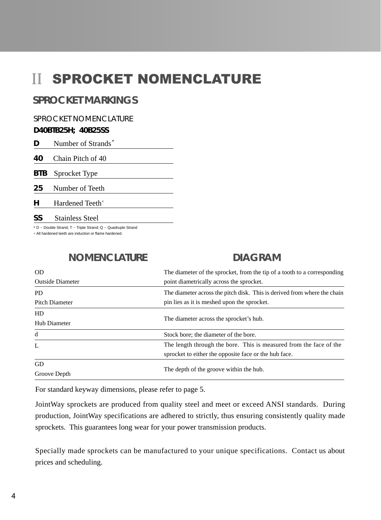# **II SPROCKET NOMENCLATURE**

#### **SPROCKET MARKINGS**

SPROCKET NOMENCLATURE

#### **D40BTB25H; 40B25SS**

| Number of Strands* |
|--------------------|
|                    |

**40** Chain Pitch of 40

**BTB** Sprocket Type

**25** Number of Teeth

**H** Hardened Teeth<sup>+</sup>

**SS** Stainless Steel

 $*$  D - Double Strand; T - Triple Strand; Q - Quadruple Strand

+ All hardened teeth are induction or flame hardened.

#### **NOMENCLATURE**

#### **DIAGRAM**

| 0 <sub>D</sub>          | The diameter of the sprocket, from the tip of a tooth to a corresponding |  |  |
|-------------------------|--------------------------------------------------------------------------|--|--|
| <b>Outside Diameter</b> | point diametrically across the sprocket.                                 |  |  |
| <b>PD</b>               | The diameter across the pitch disk. This is derived from where the chain |  |  |
| <b>Pitch Diameter</b>   | pin lies as it is meshed upon the sprocket.                              |  |  |
| <b>HD</b>               |                                                                          |  |  |
| Hub Diameter            | The diameter across the sprocket's hub.                                  |  |  |
| d                       | Stock bore; the diameter of the bore.                                    |  |  |
| L                       | The length through the bore. This is measured from the face of the       |  |  |
|                         | sprocket to either the opposite face or the hub face.                    |  |  |
| GD                      | The depth of the groove within the hub.                                  |  |  |
| Groove Depth            |                                                                          |  |  |

For standard keyway dimensions, please refer to page 5.

JointWay sprockets are produced from quality steel and meet or exceed ANSI standards. During production, JointWay specifications are adhered to strictly, thus ensuring consistently quality made sprockets. This guarantees long wear for your power transmission products.

Specially made sprockets can be manufactured to your unique specifications. Contact us about prices and scheduling.